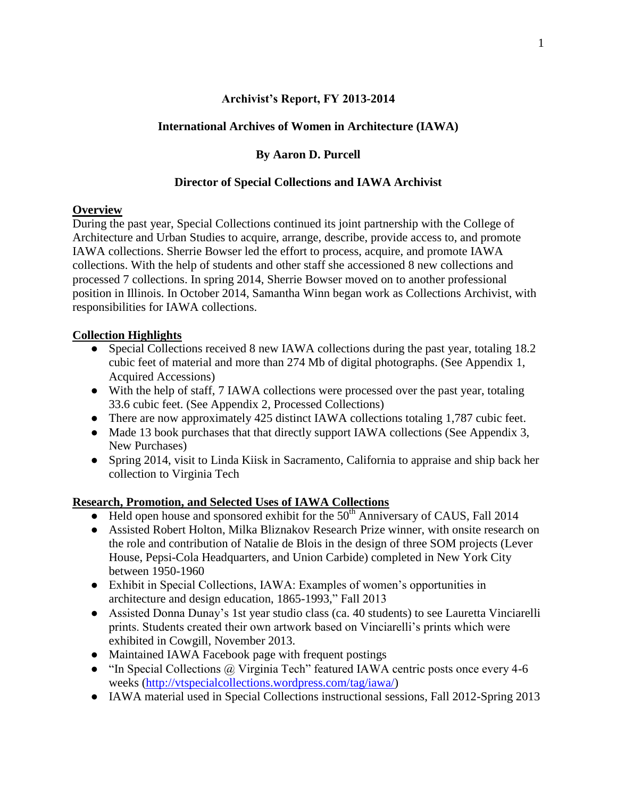#### **Archivist's Report, FY 2013-2014**

### **International Archives of Women in Architecture (IAWA)**

## **By Aaron D. Purcell**

#### **Director of Special Collections and IAWA Archivist**

#### **Overview**

During the past year, Special Collections continued its joint partnership with the College of Architecture and Urban Studies to acquire, arrange, describe, provide access to, and promote IAWA collections. Sherrie Bowser led the effort to process, acquire, and promote IAWA collections. With the help of students and other staff she accessioned 8 new collections and processed 7 collections. In spring 2014, Sherrie Bowser moved on to another professional position in Illinois. In October 2014, Samantha Winn began work as Collections Archivist, with responsibilities for IAWA collections.

## **Collection Highlights**

- Special Collections received 8 new IAWA collections during the past year, totaling 18.2 cubic feet of material and more than 274 Mb of digital photographs. (See Appendix 1, Acquired Accessions)
- With the help of staff, 7 IAWA collections were processed over the past year, totaling 33.6 cubic feet. (See Appendix 2, Processed Collections)
- There are now approximately 425 distinct IAWA collections totaling 1,787 cubic feet.
- Made 13 book purchases that that directly support IAWA collections (See Appendix 3, New Purchases)
- Spring 2014, visit to Linda Kiisk in Sacramento, California to appraise and ship back her collection to Virginia Tech

# **Research, Promotion, and Selected Uses of IAWA Collections**

- $\bullet$  Held open house and sponsored exhibit for the 50<sup>th</sup> Anniversary of CAUS, Fall 2014
- Assisted Robert Holton, Milka Bliznakov Research Prize winner, with onsite research on the role and contribution of Natalie de Blois in the design of three SOM projects (Lever House, Pepsi-Cola Headquarters, and Union Carbide) completed in New York City between 1950-1960
- Exhibit in Special Collections, IAWA: Examples of women's opportunities in architecture and design education, 1865-1993," Fall 2013
- Assisted Donna Dunay's 1st year studio class (ca. 40 students) to see Lauretta Vinciarelli prints. Students created their own artwork based on Vinciarelli's prints which were exhibited in Cowgill, November 2013.
- Maintained IAWA Facebook page with frequent postings
- "In Special Collections @ Virginia Tech" featured IAWA centric posts once every 4-6 weeks [\(http://vtspecialcollections.wordpress.com/tag/iawa/\)](http://vtspecialcollections.wordpress.com/tag/iawa/)
- IAWA material used in Special Collections instructional sessions, Fall 2012-Spring 2013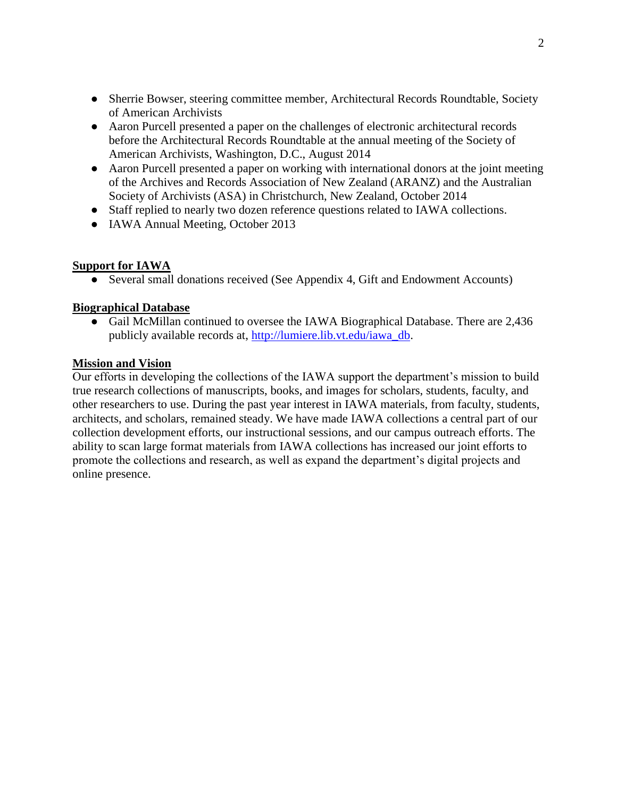- Sherrie Bowser, steering committee member, Architectural Records Roundtable, Society of American Archivists
- Aaron Purcell presented a paper on the challenges of electronic architectural records before the Architectural Records Roundtable at the annual meeting of the Society of American Archivists, Washington, D.C., August 2014
- Aaron Purcell presented a paper on working with international donors at the joint meeting of the Archives and Records Association of New Zealand (ARANZ) and the Australian Society of Archivists (ASA) in Christchurch, New Zealand, October 2014
- Staff replied to nearly two dozen reference questions related to IAWA collections.
- IAWA Annual Meeting, October 2013

#### **Support for IAWA**

• Several small donations received (See Appendix 4, Gift and Endowment Accounts)

## **Biographical Database**

● Gail McMillan continued to oversee the IAWA Biographical Database. There are 2,436 publicly available records at, [http://lumiere.lib.vt.edu/iawa\\_db.](http://lumiere.lib.vt.edu/iawa_db)

#### **Mission and Vision**

Our efforts in developing the collections of the IAWA support the department's mission to build true research collections of manuscripts, books, and images for scholars, students, faculty, and other researchers to use. During the past year interest in IAWA materials, from faculty, students, architects, and scholars, remained steady. We have made IAWA collections a central part of our collection development efforts, our instructional sessions, and our campus outreach efforts. The ability to scan large format materials from IAWA collections has increased our joint efforts to promote the collections and research, as well as expand the department's digital projects and online presence.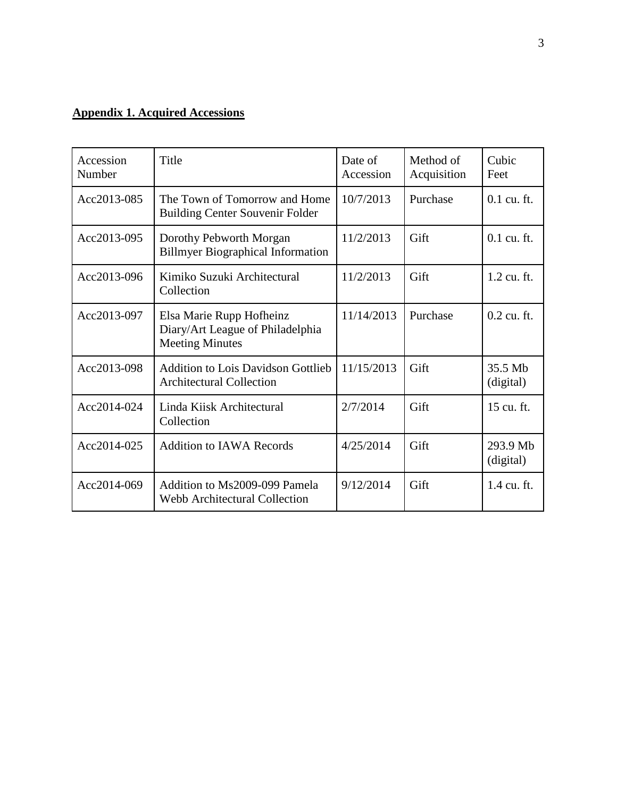# **Appendix 1. Acquired Accessions**

| Accession<br>Number | Title                                                                                  | Date of<br>Accession | Method of<br>Acquisition | Cubic<br>Feet         |
|---------------------|----------------------------------------------------------------------------------------|----------------------|--------------------------|-----------------------|
| Acc2013-085         | The Town of Tomorrow and Home<br><b>Building Center Souvenir Folder</b>                | 10/7/2013            | Purchase                 | $0.1$ cu. ft.         |
| Acc2013-095         | Dorothy Pebworth Morgan<br><b>Billmyer Biographical Information</b>                    | 11/2/2013            | Gift                     | 0.1 cu. ft.           |
| Acc2013-096         | Kimiko Suzuki Architectural<br>Collection                                              | 11/2/2013            | Gift                     | 1.2 cu. ft.           |
| Acc2013-097         | Elsa Marie Rupp Hofheinz<br>Diary/Art League of Philadelphia<br><b>Meeting Minutes</b> | 11/14/2013           | Purchase                 | $0.2$ cu. ft.         |
| Acc2013-098         | <b>Addition to Lois Davidson Gottlieb</b><br><b>Architectural Collection</b>           | 11/15/2013           | Gift                     | 35.5 Mb<br>(digital)  |
| Acc2014-024         | Linda Kiisk Architectural<br>Collection                                                | 2/7/2014             | Gift                     | 15 cu. ft.            |
| Acc2014-025         | <b>Addition to IAWA Records</b>                                                        | 4/25/2014            | Gift                     | 293.9 Mb<br>(digital) |
| Acc2014-069         | Addition to Ms2009-099 Pamela<br><b>Webb Architectural Collection</b>                  | 9/12/2014            | Gift                     | 1.4 cu. ft.           |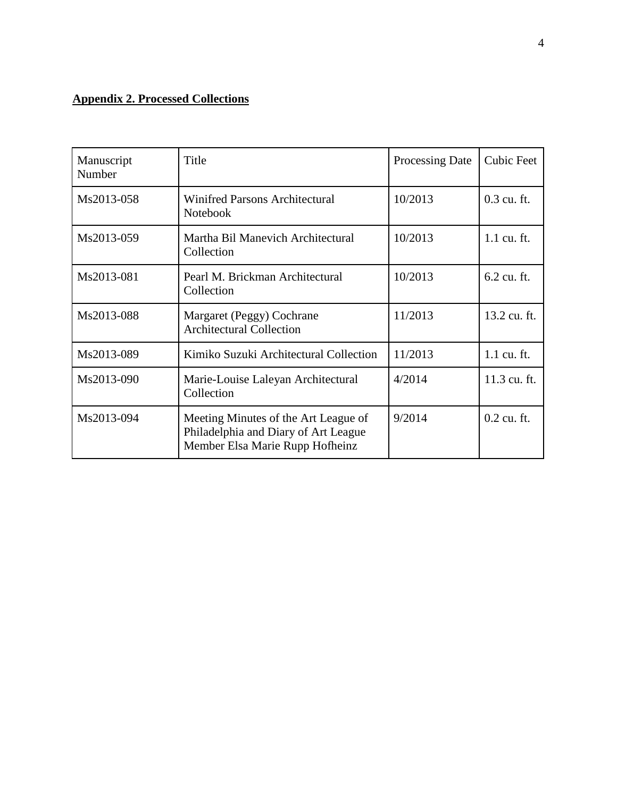# **Appendix 2. Processed Collections**

| Manuscript<br>Number | Title                                                                                                           | <b>Processing Date</b> | <b>Cubic Feet</b> |
|----------------------|-----------------------------------------------------------------------------------------------------------------|------------------------|-------------------|
| Ms2013-058           | <b>Winifred Parsons Architectural</b><br>Notebook                                                               | 10/2013                | 0.3 cu. ft.       |
| Ms2013-059           | Martha Bil Manevich Architectural<br>Collection                                                                 | 10/2013                | 1.1 cu. ft.       |
| Ms2013-081           | Pearl M. Brickman Architectural<br>Collection                                                                   | 10/2013                | 6.2 cu. ft.       |
| Ms2013-088           | Margaret (Peggy) Cochrane<br><b>Architectural Collection</b>                                                    | 11/2013                | 13.2 cu. ft.      |
| Ms2013-089           | Kimiko Suzuki Architectural Collection                                                                          | 11/2013                | 1.1 cu. ft.       |
| Ms2013-090           | Marie-Louise Laleyan Architectural<br>Collection                                                                | 4/2014                 | 11.3 cu. ft.      |
| Ms2013-094           | Meeting Minutes of the Art League of<br>Philadelphia and Diary of Art League<br>Member Elsa Marie Rupp Hofheinz | 9/2014                 | $0.2$ cu. ft.     |